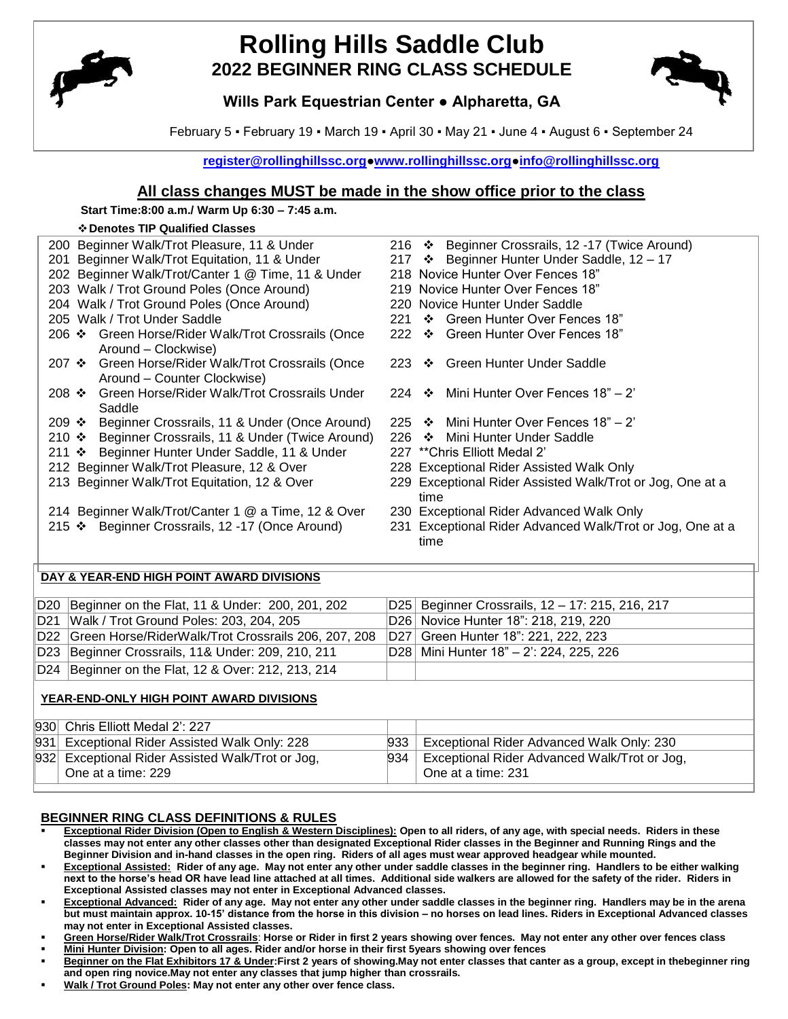

# **Rolling Hills Saddle Club 2022 BEGINNER RING CLASS SCHEDULE**



## **Wills Park Equestrian Center ● Alpharetta, GA**

February 5 ▪ February 19 ▪ March 19 ▪ April 30 ▪ May 21 ▪ June 4 ▪ August 6 ▪ September 24

**[register@rollinghillssc.org](mailto:register@rollinghillssc.org)[●www.rollinghillssc.org](http://www.rollinghillssc.org/)[●info@rollinghillssc.org](mailto:info@rollinghillssc.org)**

## **All class changes MUST be made in the show office prior to the class**

#### **Start Time:8:00 a.m./ Warm Up 6:30 – 7:45 a.m.**

#### **Denotes TIP Qualified Classes**

| ♦ Denotes TIP Qualified Classes                                                                          |                                                                   |
|----------------------------------------------------------------------------------------------------------|-------------------------------------------------------------------|
| 200 Beginner Walk/Trot Pleasure, 11 & Under                                                              | 216 ❖ Beginner Crossrails, 12 -17 (Twice Around)                  |
| Beginner Walk/Trot Equitation, 11 & Under<br>201                                                         | 217 ❖ Beginner Hunter Under Saddle, 12 - 17                       |
| 202 Beginner Walk/Trot/Canter 1 @ Time, 11 & Under                                                       | 218 Novice Hunter Over Fences 18"                                 |
| 203 Walk / Trot Ground Poles (Once Around)                                                               | 219 Novice Hunter Over Fences 18"                                 |
| 204 Walk / Trot Ground Poles (Once Around)                                                               | 220 Novice Hunter Under Saddle                                    |
| 205 Walk / Trot Under Saddle                                                                             | 221 ❖ Green Hunter Over Fences 18"                                |
| 206 ❖ Green Horse/Rider Walk/Trot Crossrails (Once                                                       | 222 ❖ Green Hunter Over Fences 18"                                |
| Around - Clockwise)<br>207 ❖ Green Horse/Rider Walk/Trot Crossrails (Once<br>Around - Counter Clockwise) | 223 * Green Hunter Under Saddle                                   |
| Green Horse/Rider Walk/Trot Crossrails Under<br>$208$ ❖<br>Saddle                                        | Mini Hunter Over Fences 18" - 2"<br>224 $\cdot$                   |
| 209 ❖ Beginner Crossrails, 11 & Under (Once Around)                                                      | 225 $\cdot \cdot$ Mini Hunter Over Fences 18" – 2"                |
| 210 ❖ Beginner Crossrails, 11 & Under (Twice Around)                                                     | 226 ❖ Mini Hunter Under Saddle                                    |
| 211 ❖ Beginner Hunter Under Saddle, 11 & Under                                                           | 227 **Chris Elliott Medal 2'                                      |
| 212 Beginner Walk/Trot Pleasure, 12 & Over                                                               | 228 Exceptional Rider Assisted Walk Only                          |
| 213 Beginner Walk/Trot Equitation, 12 & Over                                                             | 229 Exceptional Rider Assisted Walk/Trot or Jog, One at a<br>time |
| 214 Beginner Walk/Trot/Canter 1 @ a Time, 12 & Over                                                      | 230 Exceptional Rider Advanced Walk Only                          |
| 215 ❖ Beginner Crossrails, 12 -17 (Once Around)                                                          | 231 Exceptional Rider Advanced Walk/Trot or Jog, One at a<br>time |
| DAY & YEAR-END HIGH POINT AWARD DIVISIONS                                                                |                                                                   |

| D20 Beginner on the Flat, 11 & Under: 200, 201, 202     | D25 Beginner Crossrails, 12 - 17: 215, 216, 217 |
|---------------------------------------------------------|-------------------------------------------------|
| D21 Walk / Trot Ground Poles: 203, 204, 205             | D26 Novice Hunter 18": 218, 219, 220            |
| D22 Green Horse/RiderWalk/Trot Crossrails 206, 207, 208 | D27 Green Hunter 18": 221, 222, 223             |
| D23 Beginner Crossrails, 11& Under: 209, 210, 211       | D28   Mini Hunter 18" - 2': 224, 225, 226       |
| D24 Beginner on the Flat, 12 & Over: 212, 213, 214      |                                                 |

## **YEAR-END-ONLY HIGH POINT AWARD DIVISIONS**

| 930 Chris Elliott Medal 2': 227                    |     |                                              |
|----------------------------------------------------|-----|----------------------------------------------|
| 931 Exceptional Rider Assisted Walk Only: 228      | 933 | Exceptional Rider Advanced Walk Only: 230    |
| [932] Exceptional Rider Assisted Walk/Trot or Jog, | 934 | Exceptional Rider Advanced Walk/Trot or Jog, |
| One at a time: 229                                 |     | One at a time: 231                           |
|                                                    |     |                                              |

### **BEGINNER RING CLASS DEFINITIONS & RULES**

- **Exceptional Rider Division (Open to English & Western Disciplines): Open to all riders, of any age, with special needs. Riders in these classes may not enter any other classes other than designated Exceptional Rider classes in the Beginner and Running Rings and the Beginner Division and in-hand classes in the open ring. Riders of all ages must wear approved headgear while mounted.**
- **Exceptional Assisted: Rider of any age. May not enter any other under saddle classes in the beginner ring. Handlers to be either walking next to the horse's head OR have lead line attached at all times. Additional side walkers are allowed for the safety of the rider. Riders in Exceptional Assisted classes may not enter in Exceptional Advanced classes.**
- **Exceptional Advanced: Rider of any age. May not enter any other under saddle classes in the beginner ring. Handlers may be in the arena but must maintain approx. 10-15' distance from the horse in this division – no horses on lead lines. Riders in Exceptional Advanced classes may not enter in Exceptional Assisted classes.**
- **Green Horse/Rider Walk/Trot Crossrails**: **Horse or Rider in first 2 years showing over fences. May not enter any other over fences class Mini Hunter Division: Open to all ages. Rider and/or horse in their first 5years showing over fences**
- **Beginner on the Flat Exhibitors 17 & Under:First 2 years of showing.May not enter classes that canter as a group, except in thebeginner ring and open ring novice.May not enter any classes that jump higher than crossrails.**
- **Walk / Trot Ground Poles: May not enter any other over fence class.**